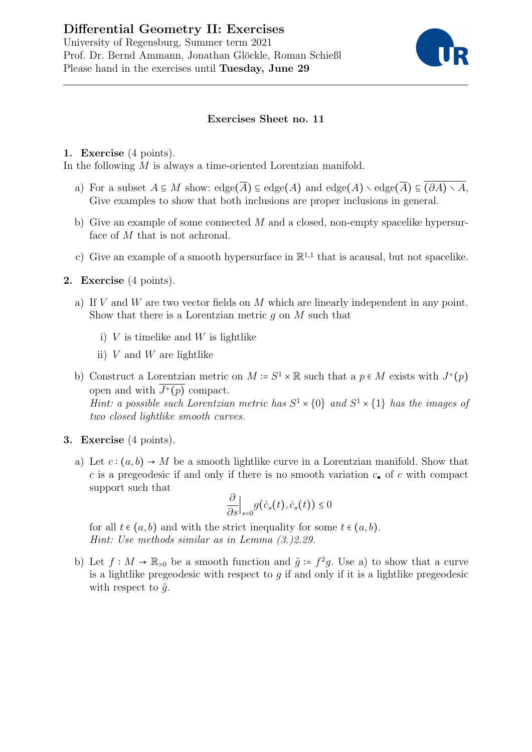# Differential Geometry II: Exercises University of Regensburg, Summer term 2021 Prof. Dr. Bernd Ammann, Jonathan Glöckle, Roman Schießl Please hand in the exercises until Tuesday, June 29



## Exercises Sheet no. 11

#### 1. Exercise (4 points).

In the following M is always a time-oriented Lorentzian manifold.

- a) For a subset  $A \subseteq M$  show:  $edge(\overline{A}) \subseteq edge(A)$  and  $edge(A) \setminus edge(\overline{A}) \subseteq (\partial A) \setminus A$ , Give examples to show that both inclusions are proper inclusions in general.
- b) Give an example of some connected  $M$  and a closed, non-empty spacelike hypersurface of M that is not achronal.
- c) Give an example of a smooth hypersurface in  $\mathbb{R}^{1,1}$  that is acausal, but not spacelike.

### 2. Exercise (4 points).

- a) If  $V$  and  $W$  are two vector fields on  $M$  which are linearly independent in any point. Show that there is a Lorentzian metric  $q$  on  $M$  such that
	- i)  $V$  is timelike and  $W$  is lightlike
	- ii)  $V$  and  $W$  are lightlike
- b) Construct a Lorentzian metric on  $M = S^1 \times \mathbb{R}$  such that a  $p \in M$  exists with  $J^+(p)$ open and with  $J^+(p)$  compact. Hint: a possible such Lorentzian metric has  $S^1 \times \{0\}$  and  $S^1 \times \{1\}$  has the images of two closed lightlike smooth curves.
- 3. Exercise (4 points).
	- a) Let  $c:(a,b)\to M$  be a smooth lightlike curve in a Lorentzian manifold. Show that c is a pregeodesic if and only if there is no smooth variation  $c_{\bullet}$  of c with compact support such that

$$
\frac{\partial}{\partial s}\Big|_{s=0}g(\dot{c}_s(t),\dot{c}_s(t))\leq 0
$$

for all  $t \in (a, b)$  and with the strict inequality for some  $t \in (a, b)$ . Hint: Use methods similar as in Lemma (3.)2.29.

b) Let  $f: M \to \mathbb{R}_{>0}$  be a smooth function and  $\tilde{g} \coloneqq f^2 g$ . Use a) to show that a curve is a lightlike pregeodesic with respect to  $q$  if and only if it is a lightlike pregeodesic with respect to  $\tilde{q}$ .